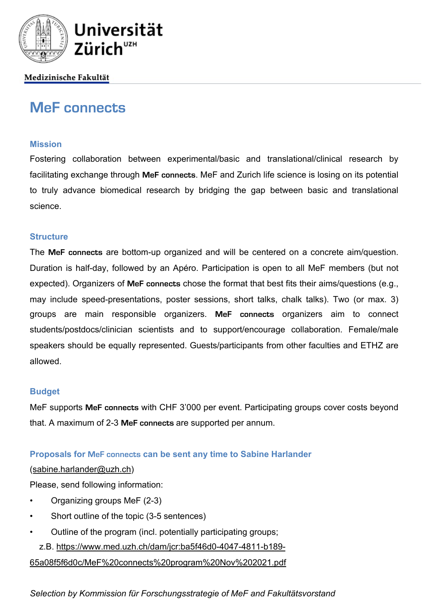

# Medizinische Fakultät

# **MeF connects**

### **Mission**

Fostering collaboration between experimental/basic and translational/clinical research by facilitating exchange through **MeF connects**. MeF and Zurich life science is losing on its potential to truly advance biomedical research by bridging the gap between basic and translational science.

### **Structure**

The **MeF connects** are bottom-up organized and will be centered on a concrete aim/question. Duration is half-day, followed by an Apéro. Participation is open to all MeF members (but not expected). Organizers of **MeF connects** chose the format that best fits their aims/questions (e.g., may include speed-presentations, poster sessions, short talks, chalk talks). Two (or max. 3) groups are main responsible organizers. **MeF connects** organizers aim to connect students/postdocs/clinician scientists and to support/encourage collaboration. Female/male speakers should be equally represented. Guests/participants from other faculties and ETHZ are allowed.

## **Budget**

MeF supports **MeF connects** with CHF 3'000 per event. Participating groups cover costs beyond that. A maximum of 2-3 **MeF connects** are supported per annum.

## **Proposals for MeF connects can be sent any time to Sabine Harlander**

#### (sabine.harlander@uzh.ch)

Please, send following information:

- Organizing groups MeF (2-3)
- Short outline of the topic (3-5 sentences)
- Outline of the program (incl. potentially participating groups;

z.B. https://www.med.uzh.ch/dam/jcr:ba5f46d0-4047-4811-b189-

65a08f5f6d0c/MeF%20connects%20program%20Nov%202021.pdf

*Selection by Kommission für Forschungsstrategie of MeF and Fakultätsvorstand*